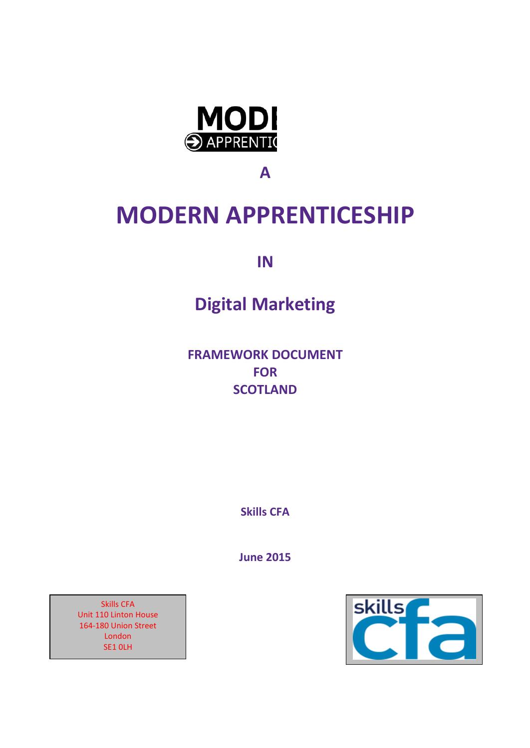

**A**

# **MODERN APPRENTICESHIP**

**IN**

# **Digital Marketing**

**FRAMEWORK DOCUMENT FOR SCOTLAND**

**Skills CFA**

**June 2015**



Skills CFA Unit 110 Linton House 164-180 Union Street London SE1 0LH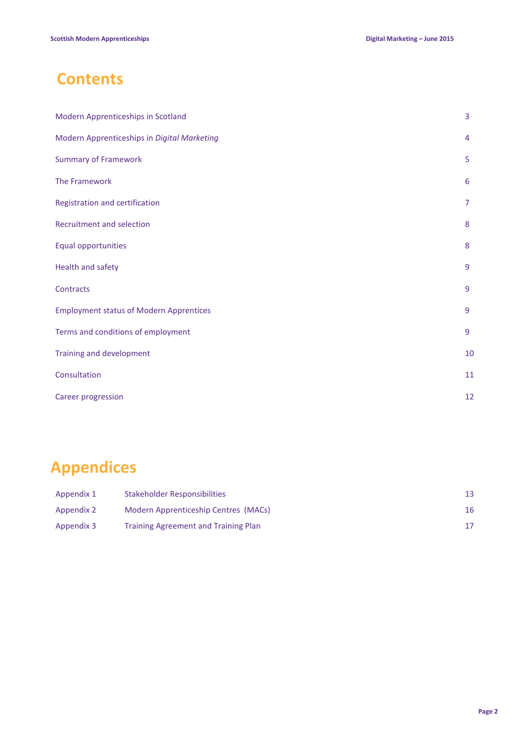# **Contents**

| Modern Apprenticeships in Scotland             | 3              |
|------------------------------------------------|----------------|
| Modern Apprenticeships in Digital Marketing    | 4              |
| <b>Summary of Framework</b>                    | 5              |
| The Framework                                  | 6              |
| Registration and certification                 | $\overline{7}$ |
| Recruitment and selection                      | 8              |
| <b>Equal opportunities</b>                     | 8              |
| Health and safety                              | 9              |
| Contracts                                      | 9              |
| <b>Employment status of Modern Apprentices</b> | 9              |
| Terms and conditions of employment             | 9              |
| Training and development                       | 10             |
| Consultation                                   | 11             |
| Career progression                             | 12             |

# **Appendices**

| Appendix 1 | Stakeholder Responsibilities                |    |
|------------|---------------------------------------------|----|
| Appendix 2 | Modern Apprenticeship Centres (MACs)        | 16 |
| Appendix 3 | <b>Training Agreement and Training Plan</b> |    |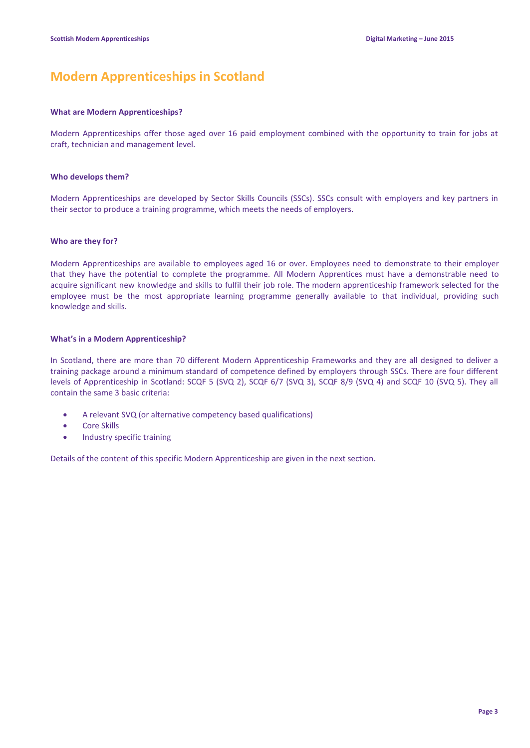# **Modern Apprenticeships in Scotland**

#### **What are Modern Apprenticeships?**

Modern Apprenticeships offer those aged over 16 paid employment combined with the opportunity to train for jobs at craft, technician and management level.

#### **Who develops them?**

Modern Apprenticeships are developed by Sector Skills Councils (SSCs). SSCs consult with employers and key partners in their sector to produce a training programme, which meets the needs of employers.

#### **Who are they for?**

Modern Apprenticeships are available to employees aged 16 or over. Employees need to demonstrate to their employer that they have the potential to complete the programme. All Modern Apprentices must have a demonstrable need to acquire significant new knowledge and skills to fulfil their job role. The modern apprenticeship framework selected for the employee must be the most appropriate learning programme generally available to that individual, providing such knowledge and skills.

#### **What's in a Modern Apprenticeship?**

In Scotland, there are more than 70 different Modern Apprenticeship Frameworks and they are all designed to deliver a training package around a minimum standard of competence defined by employers through SSCs. There are four different levels of Apprenticeship in Scotland: SCQF 5 (SVQ 2), SCQF 6/7 (SVQ 3), SCQF 8/9 (SVQ 4) and SCQF 10 (SVQ 5). They all contain the same 3 basic criteria:

- A relevant SVQ (or alternative competency based qualifications)
- Core Skills
- Industry specific training

Details of the content of this specific Modern Apprenticeship are given in the next section.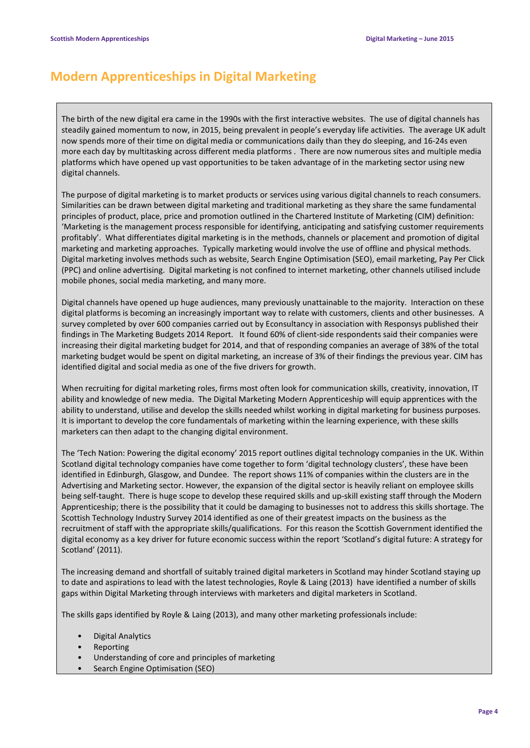# **Modern Apprenticeships in Digital Marketing**

The birth of the new digital era came in the 1990s with the first interactive websites. The use of digital channels has steadily gained momentum to now, in 2015, being prevalent in people's everyday life activities. The average UK adult now spends more of their time on digital media or communications daily than they do sleeping, and 16-24s even more each day by multitasking across different media platforms . There are now numerous sites and multiple media platforms which have opened up vast opportunities to be taken advantage of in the marketing sector using new digital channels.

The purpose of digital marketing is to market products or services using various digital channels to reach consumers. Similarities can be drawn between digital marketing and traditional marketing as they share the same fundamental principles of product, place, price and promotion outlined in the Chartered Institute of Marketing (CIM) definition: 'Marketing is the management process responsible for identifying, anticipating and satisfying customer requirements profitably'. What differentiates digital marketing is in the methods, channels or placement and promotion of digital marketing and marketing approaches. Typically marketing would involve the use of offline and physical methods. Digital marketing involves methods such as website, Search Engine Optimisation (SEO), email marketing, Pay Per Click (PPC) and online advertising. Digital marketing is not confined to internet marketing, other channels utilised include mobile phones, social media marketing, and many more.

Digital channels have opened up huge audiences, many previously unattainable to the majority. Interaction on these digital platforms is becoming an increasingly important way to relate with customers, clients and other businesses. A survey completed by over 600 companies carried out by Econsultancy in association with Responsys published their findings in The Marketing Budgets 2014 Report. It found 60% of client-side respondents said their companies were increasing their digital marketing budget for 2014, and that of responding companies an average of 38% of the total marketing budget would be spent on digital marketing, an increase of 3% of their findings the previous year. CIM has identified digital and social media as one of the five drivers for growth.

When recruiting for digital marketing roles, firms most often look for communication skills, creativity, innovation, IT ability and knowledge of new media. The Digital Marketing Modern Apprenticeship will equip apprentices with the ability to understand, utilise and develop the skills needed whilst working in digital marketing for business purposes. It is important to develop the core fundamentals of marketing within the learning experience, with these skills marketers can then adapt to the changing digital environment.

The 'Tech Nation: Powering the digital economy' 2015 report outlines digital technology companies in the UK. Within Scotland digital technology companies have come together to form 'digital technology clusters', these have been identified in Edinburgh, Glasgow, and Dundee. The report shows 11% of companies within the clusters are in the Advertising and Marketing sector. However, the expansion of the digital sector is heavily reliant on employee skills being self-taught. There is huge scope to develop these required skills and up-skill existing staff through the Modern Apprenticeship; there is the possibility that it could be damaging to businesses not to address this skills shortage. The Scottish Technology Industry Survey 2014 identified as one of their greatest impacts on the business as the recruitment of staff with the appropriate skills/qualifications. For this reason the Scottish Government identified the digital economy as a key driver for future economic success within the report 'Scotland's digital future: A strategy for Scotland' (2011).

The increasing demand and shortfall of suitably trained digital marketers in Scotland may hinder Scotland staying up to date and aspirations to lead with the latest technologies, Royle & Laing (2013) have identified a number of skills gaps within Digital Marketing through interviews with marketers and digital marketers in Scotland.

The skills gaps identified by Royle & Laing (2013), and many other marketing professionals include:

- Digital Analytics
- Reporting
- Understanding of core and principles of marketing
- Search Engine Optimisation (SEO)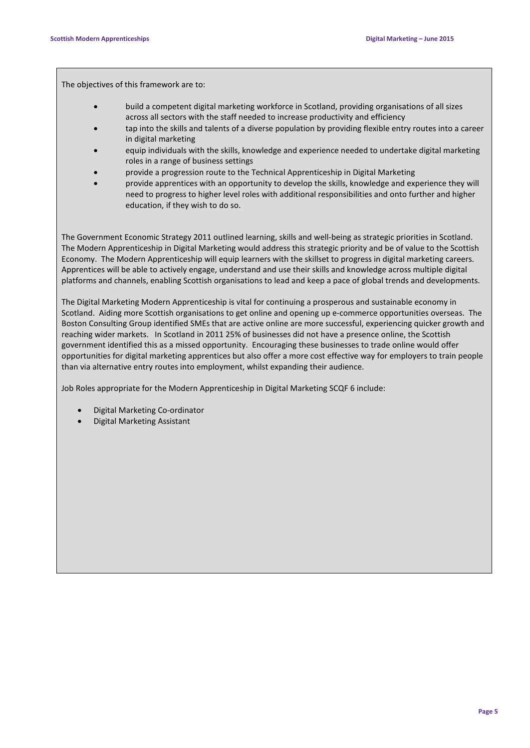The objectives of this framework are to:

- build a competent digital marketing workforce in Scotland, providing organisations of all sizes across all sectors with the staff needed to increase productivity and efficiency
- tap into the skills and talents of a diverse population by providing flexible entry routes into a career in digital marketing
- equip individuals with the skills, knowledge and experience needed to undertake digital marketing roles in a range of business settings
- provide a progression route to the Technical Apprenticeship in Digital Marketing
- provide apprentices with an opportunity to develop the skills, knowledge and experience they will need to progress to higher level roles with additional responsibilities and onto further and higher education, if they wish to do so.

The Government Economic Strategy 2011 outlined learning, skills and well-being as strategic priorities in Scotland. The Modern Apprenticeship in Digital Marketing would address this strategic priority and be of value to the Scottish Economy. The Modern Apprenticeship will equip learners with the skillset to progress in digital marketing careers. Apprentices will be able to actively engage, understand and use their skills and knowledge across multiple digital platforms and channels, enabling Scottish organisations to lead and keep a pace of global trends and developments.

The Digital Marketing Modern Apprenticeship is vital for continuing a prosperous and sustainable economy in Scotland. Aiding more Scottish organisations to get online and opening up e-commerce opportunities overseas. The Boston Consulting Group identified SMEs that are active online are more successful, experiencing quicker growth and reaching wider markets. In Scotland in 2011 25% of businesses did not have a presence online, the Scottish government identified this as a missed opportunity. Encouraging these businesses to trade online would offer opportunities for digital marketing apprentices but also offer a more cost effective way for employers to train people than via alternative entry routes into employment, whilst expanding their audience.

Job Roles appropriate for the Modern Apprenticeship in Digital Marketing SCQF 6 include:

- Digital Marketing Co-ordinator
- Digital Marketing Assistant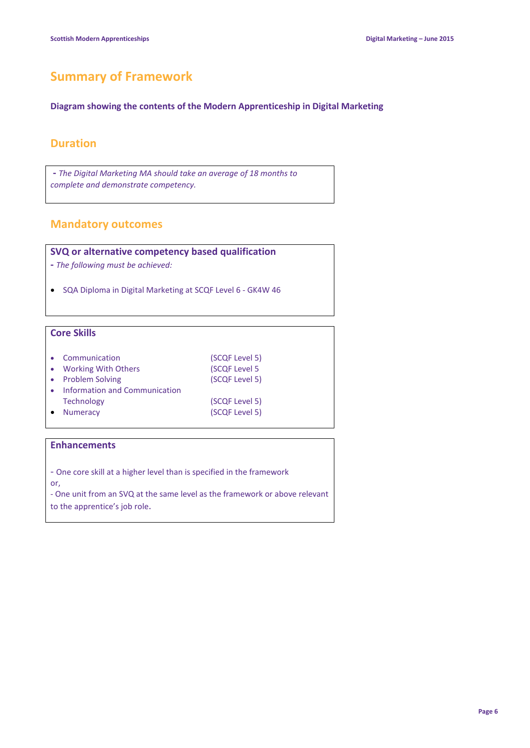# **Summary of Framework**

#### **Diagram showing the contents of the Modern Apprenticeship in Digital Marketing**

### **Duration**

**-** *The Digital Marketing MA should take an average of 18 months to complete and demonstrate competency.*

### **Mandatory outcomes**

#### **SVQ or alternative competency based qualification**

- **-** *The following must be achieved:*
- SQA Diploma in Digital Marketing at SCQF Level 6 GK4W 46

#### **Core Skills**

| Communication<br>• Working With Others<br>• Problem Solving<br>Information and Communication | (SCQF Level 5)<br>(SCQF Level 5<br>(SCQF Level 5) |
|----------------------------------------------------------------------------------------------|---------------------------------------------------|
| <b>Technology</b><br><b>Numeracy</b>                                                         | (SCQF Level 5)<br>(SCQF Level 5)                  |

#### **Enhancements**

- One core skill at a higher level than is specified in the framework or,

- One unit from an SVQ at the same level as the framework or above relevant to the apprentice's job role.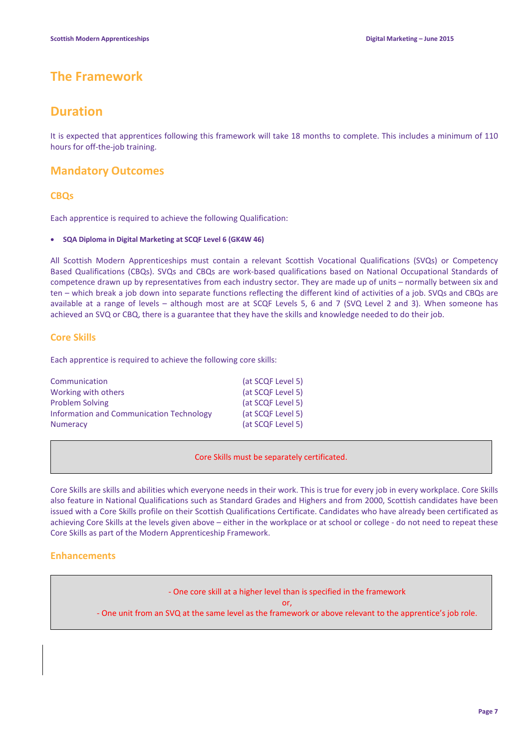## **The Framework**

### **Duration**

It is expected that apprentices following this framework will take 18 months to complete. This includes a minimum of 110 hours for off-the-job training.

### **Mandatory Outcomes**

#### **CBQs**

Each apprentice is required to achieve the following Qualification:

#### • **SQA Diploma in Digital Marketing at SCQF Level 6 (GK4W 46)**

All Scottish Modern Apprenticeships must contain a relevant Scottish Vocational Qualifications (SVQs) or Competency Based Qualifications (CBQs). SVQs and CBQs are work-based qualifications based on National Occupational Standards of competence drawn up by representatives from each industry sector. They are made up of units – normally between six and ten – which break a job down into separate functions reflecting the different kind of activities of a job. SVQs and CBQs are available at a range of levels – although most are at SCQF Levels 5, 6 and 7 (SVQ Level 2 and 3). When someone has achieved an SVQ or CBQ, there is a guarantee that they have the skills and knowledge needed to do their job.

#### **Core Skills**

Each apprentice is required to achieve the following core skills:

| Communication                            | (at SCQF Level 5) |
|------------------------------------------|-------------------|
| Working with others                      | (at SCQF Level 5) |
| <b>Problem Solving</b>                   | (at SCQF Level 5) |
| Information and Communication Technology | (at SCQF Level 5) |
| <b>Numeracy</b>                          | (at SCQF Level 5) |

Core Skills must be separately certificated.

Core Skills are skills and abilities which everyone needs in their work. This is true for every job in every workplace. Core Skills also feature in National Qualifications such as Standard Grades and Highers and from 2000, Scottish candidates have been issued with a Core Skills profile on their Scottish Qualifications Certificate. Candidates who have already been certificated as achieving Core Skills at the levels given above – either in the workplace or at school or college - do not need to repeat these Core Skills as part of the Modern Apprenticeship Framework.

#### **Enhancements**

- One core skill at a higher level than is specified in the framework

or,

- One unit from an SVQ at the same level as the framework or above relevant to the apprentice's job role.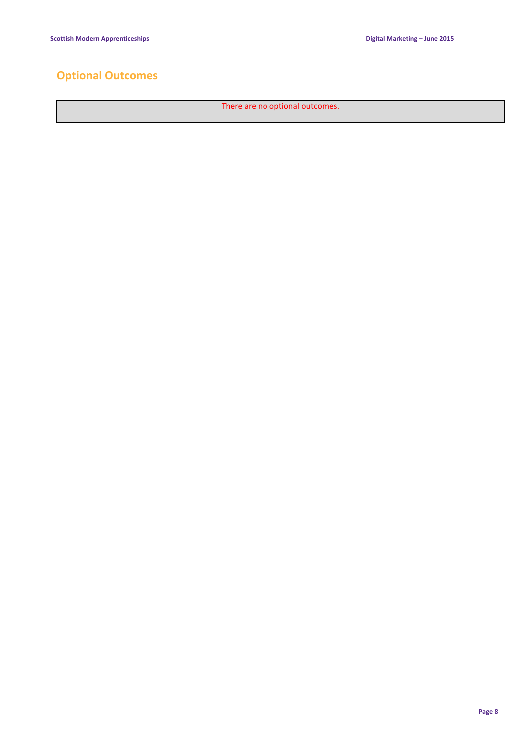# **Optional Outcomes**

There are no optional outcomes.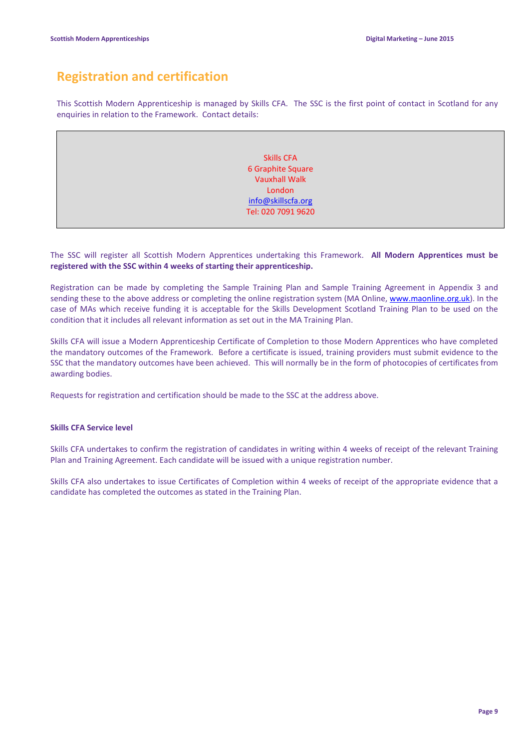# **Registration and certification**

This Scottish Modern Apprenticeship is managed by Skills CFA. The SSC is the first point of contact in Scotland for any enquiries in relation to the Framework. Contact details:

> Skills CFA 6 Graphite Square Vauxhall Walk London info@skillscfa.org Tel: 020 7091 9620

The SSC will register all Scottish Modern Apprentices undertaking this Framework. **All Modern Apprentices must be registered with the SSC within 4 weeks of starting their apprenticeship.**

Registration can be made by completing the Sample Training Plan and Sample Training Agreement in Appendix 3 and sending these to the above address or completing the online registration system (MA Online, www.maonline.org.uk). In the case of MAs which receive funding it is acceptable for the Skills Development Scotland Training Plan to be used on the condition that it includes all relevant information as set out in the MA Training Plan.

Skills CFA will issue a Modern Apprenticeship Certificate of Completion to those Modern Apprentices who have completed the mandatory outcomes of the Framework. Before a certificate is issued, training providers must submit evidence to the SSC that the mandatory outcomes have been achieved. This will normally be in the form of photocopies of certificates from awarding bodies.

Requests for registration and certification should be made to the SSC at the address above.

#### **Skills CFA Service level**

Skills CFA undertakes to confirm the registration of candidates in writing within 4 weeks of receipt of the relevant Training Plan and Training Agreement. Each candidate will be issued with a unique registration number.

Skills CFA also undertakes to issue Certificates of Completion within 4 weeks of receipt of the appropriate evidence that a candidate has completed the outcomes as stated in the Training Plan.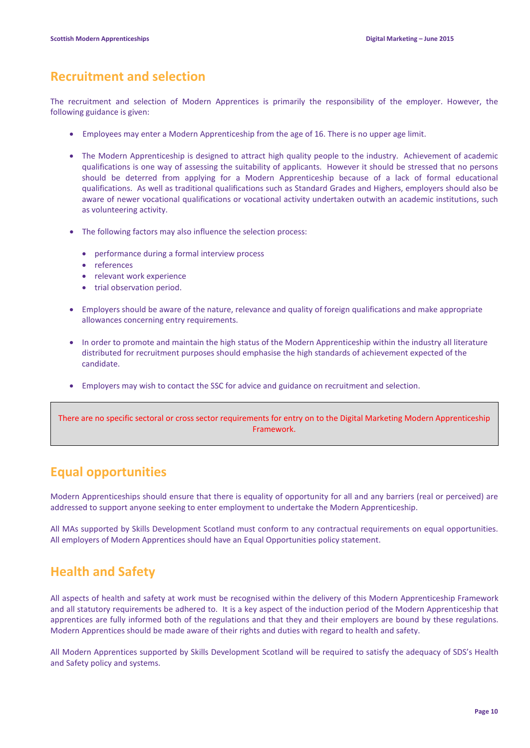### **Recruitment and selection**

The recruitment and selection of Modern Apprentices is primarily the responsibility of the employer. However, the following guidance is given:

- Employees may enter a Modern Apprenticeship from the age of 16. There is no upper age limit.
- The Modern Apprenticeship is designed to attract high quality people to the industry. Achievement of academic qualifications is one way of assessing the suitability of applicants. However it should be stressed that no persons should be deterred from applying for a Modern Apprenticeship because of a lack of formal educational qualifications. As well as traditional qualifications such as Standard Grades and Highers, employers should also be aware of newer vocational qualifications or vocational activity undertaken outwith an academic institutions, such as volunteering activity.
- The following factors may also influence the selection process:
	- performance during a formal interview process
	- references
	- relevant work experience
	- trial observation period.
- Employers should be aware of the nature, relevance and quality of foreign qualifications and make appropriate allowances concerning entry requirements.
- In order to promote and maintain the high status of the Modern Apprenticeship within the industry all literature distributed for recruitment purposes should emphasise the high standards of achievement expected of the candidate.
- Employers may wish to contact the SSC for advice and guidance on recruitment and selection.

There are no specific sectoral or cross sector requirements for entry on to the Digital Marketing Modern Apprenticeship Framework.

## **Equal opportunities**

Modern Apprenticeships should ensure that there is equality of opportunity for all and any barriers (real or perceived) are addressed to support anyone seeking to enter employment to undertake the Modern Apprenticeship.

All MAs supported by Skills Development Scotland must conform to any contractual requirements on equal opportunities. All employers of Modern Apprentices should have an Equal Opportunities policy statement.

## **Health and Safety**

All aspects of health and safety at work must be recognised within the delivery of this Modern Apprenticeship Framework and all statutory requirements be adhered to. It is a key aspect of the induction period of the Modern Apprenticeship that apprentices are fully informed both of the regulations and that they and their employers are bound by these regulations. Modern Apprentices should be made aware of their rights and duties with regard to health and safety.

All Modern Apprentices supported by Skills Development Scotland will be required to satisfy the adequacy of SDS's Health and Safety policy and systems.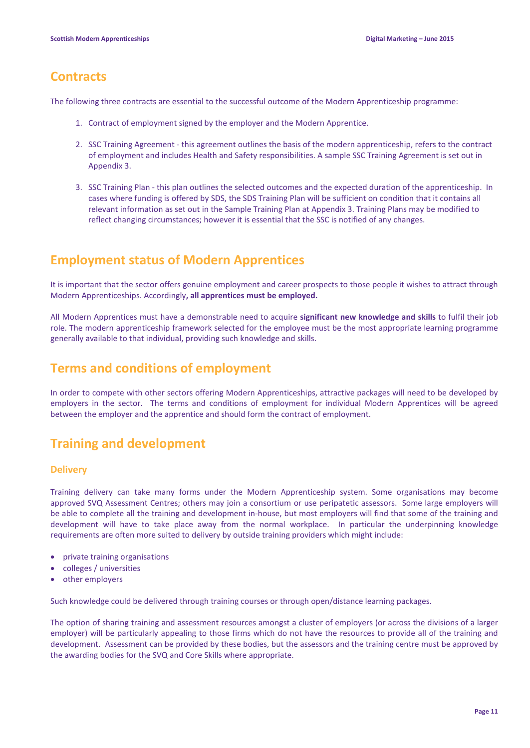### **Contracts**

The following three contracts are essential to the successful outcome of the Modern Apprenticeship programme:

- 1. Contract of employment signed by the employer and the Modern Apprentice.
- 2. SSC Training Agreement this agreement outlines the basis of the modern apprenticeship, refers to the contract of employment and includes Health and Safety responsibilities. A sample SSC Training Agreement is set out in Appendix 3.
- 3. SSC Training Plan this plan outlines the selected outcomes and the expected duration of the apprenticeship. In cases where funding is offered by SDS, the SDS Training Plan will be sufficient on condition that it contains all relevant information as set out in the Sample Training Plan at Appendix 3. Training Plans may be modified to reflect changing circumstances; however it is essential that the SSC is notified of any changes.

## **Employment status of Modern Apprentices**

It is important that the sector offers genuine employment and career prospects to those people it wishes to attract through Modern Apprenticeships. Accordingly**, all apprentices must be employed.**

All Modern Apprentices must have a demonstrable need to acquire **significant new knowledge and skills** to fulfil their job role. The modern apprenticeship framework selected for the employee must be the most appropriate learning programme generally available to that individual, providing such knowledge and skills.

# **Terms and conditions of employment**

In order to compete with other sectors offering Modern Apprenticeships, attractive packages will need to be developed by employers in the sector. The terms and conditions of employment for individual Modern Apprentices will be agreed between the employer and the apprentice and should form the contract of employment.

# **Training and development**

#### **Delivery**

Training delivery can take many forms under the Modern Apprenticeship system. Some organisations may become approved SVQ Assessment Centres; others may join a consortium or use peripatetic assessors. Some large employers will be able to complete all the training and development in-house, but most employers will find that some of the training and development will have to take place away from the normal workplace. In particular the underpinning knowledge requirements are often more suited to delivery by outside training providers which might include:

- private training organisations
- colleges / universities
- other employers

Such knowledge could be delivered through training courses or through open/distance learning packages.

The option of sharing training and assessment resources amongst a cluster of employers (or across the divisions of a larger employer) will be particularly appealing to those firms which do not have the resources to provide all of the training and development. Assessment can be provided by these bodies, but the assessors and the training centre must be approved by the awarding bodies for the SVQ and Core Skills where appropriate.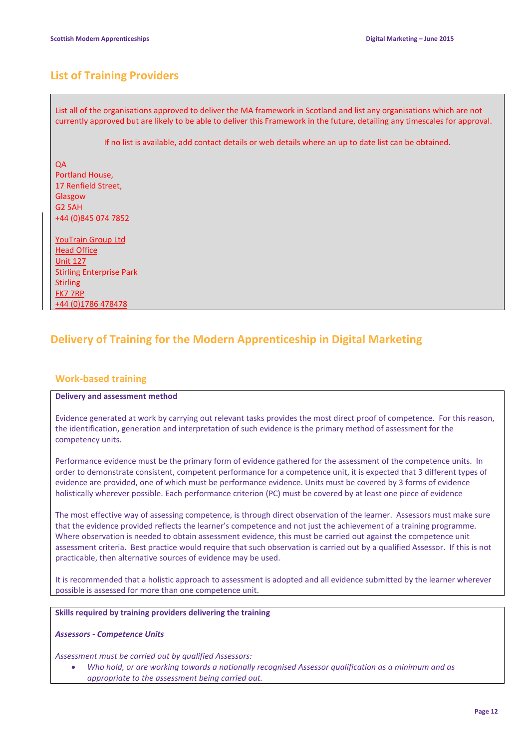### **List of Training Providers**

List all of the organisations approved to deliver the MA framework in Scotland and list any organisations which are not currently approved but are likely to be able to deliver this Framework in the future, detailing any timescales for approval.

If no list is available, add contact details or web details where an up to date list can be obtained.

**OA** Portland House, 17 Renfield Street, Glasgow G2 5AH +44 (0)845 074 7852

YouTrain Group Ltd Head Office Unit 127 Stirling Enterprise Park **Stirling** FK7 7RP +44 (0)1786 478478

### **Delivery of Training for the Modern Apprenticeship in Digital Marketing**

#### **Work-based training**

#### **Delivery and assessment method**

Evidence generated at work by carrying out relevant tasks provides the most direct proof of competence. For this reason, the identification, generation and interpretation of such evidence is the primary method of assessment for the competency units.

Performance evidence must be the primary form of evidence gathered for the assessment of the competence units. In order to demonstrate consistent, competent performance for a competence unit, it is expected that 3 different types of evidence are provided, one of which must be performance evidence. Units must be covered by 3 forms of evidence holistically wherever possible. Each performance criterion (PC) must be covered by at least one piece of evidence

The most effective way of assessing competence, is through direct observation of the learner. Assessors must make sure that the evidence provided reflects the learner's competence and not just the achievement of a training programme. Where observation is needed to obtain assessment evidence, this must be carried out against the competence unit assessment criteria. Best practice would require that such observation is carried out by a qualified Assessor. If this is not practicable, then alternative sources of evidence may be used.

It is recommended that a holistic approach to assessment is adopted and all evidence submitted by the learner wherever possible is assessed for more than one competence unit.

#### **Skills required by training providers delivering the training**

#### *Assessors - Competence Units*

*Assessment must be carried out by qualified Assessors:*

• *Who hold, or are working towards a nationally recognised Assessor qualification as a minimum and as appropriate to the assessment being carried out.*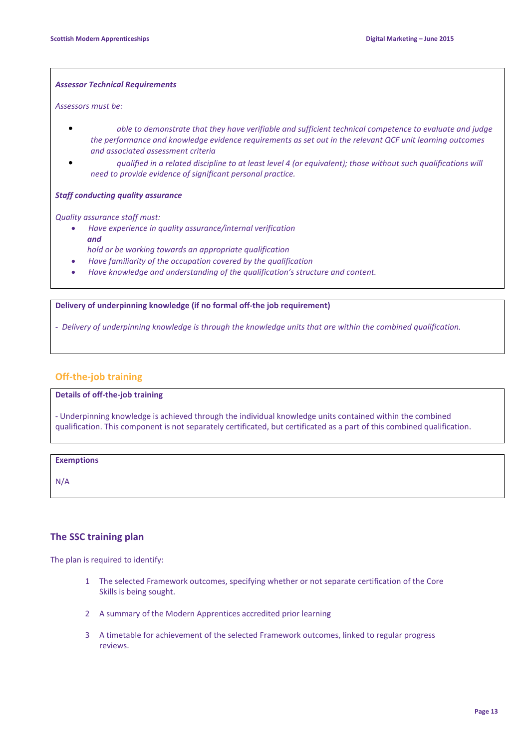#### *Assessor Technical Requirements*

*Assessors must be:*

- *able to demonstrate that they have verifiable and sufficient technical competence to evaluate and judge the performance and knowledge evidence requirements as set out in the relevant QCF unit learning outcomes and associated assessment criteria*
- *qualified in a related discipline to at least level 4 (or equivalent); those without such qualifications will need to provide evidence of significant personal practice.*

#### *Staff conducting quality assurance*

*Quality assurance staff must:*

- *Have experience in quality assurance/internal verification and*
- *hold or be working towards an appropriate qualification*
- *Have familiarity of the occupation covered by the qualification*
- *Have knowledge and understanding of the qualification's structure and content.*

**Delivery of underpinning knowledge (if no formal off-the job requirement)**

*- Delivery of underpinning knowledge is through the knowledge units that are within the combined qualification.*

#### **Off-the-job training**

**Details of off-the-job training**

- Underpinning knowledge is achieved through the individual knowledge units contained within the combined qualification. This component is not separately certificated, but certificated as a part of this combined qualification.

#### **Exemptions**

N/A

#### **The SSC training plan**

The plan is required to identify:

- 1 The selected Framework outcomes, specifying whether or not separate certification of the Core Skills is being sought.
- 2 A summary of the Modern Apprentices accredited prior learning
- 3 A timetable for achievement of the selected Framework outcomes, linked to regular progress reviews.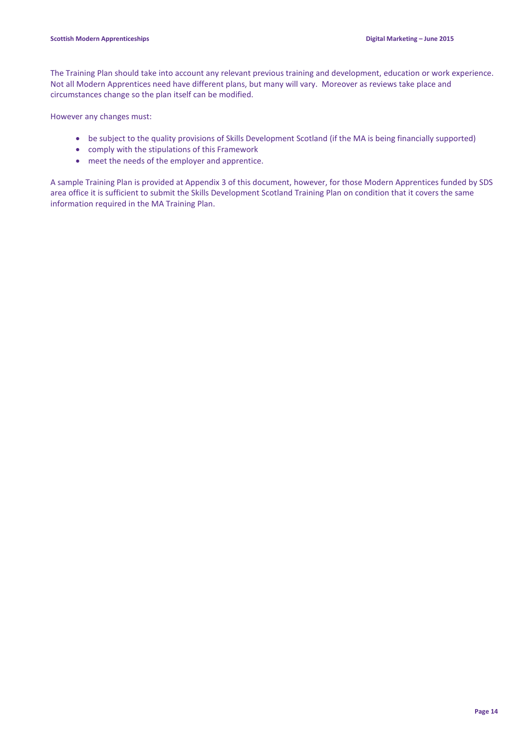The Training Plan should take into account any relevant previous training and development, education or work experience. Not all Modern Apprentices need have different plans, but many will vary. Moreover as reviews take place and circumstances change so the plan itself can be modified.

However any changes must:

- be subject to the quality provisions of Skills Development Scotland (if the MA is being financially supported)
- comply with the stipulations of this Framework
- meet the needs of the employer and apprentice.

A sample Training Plan is provided at Appendix 3 of this document, however, for those Modern Apprentices funded by SDS area office it is sufficient to submit the Skills Development Scotland Training Plan on condition that it covers the same information required in the MA Training Plan.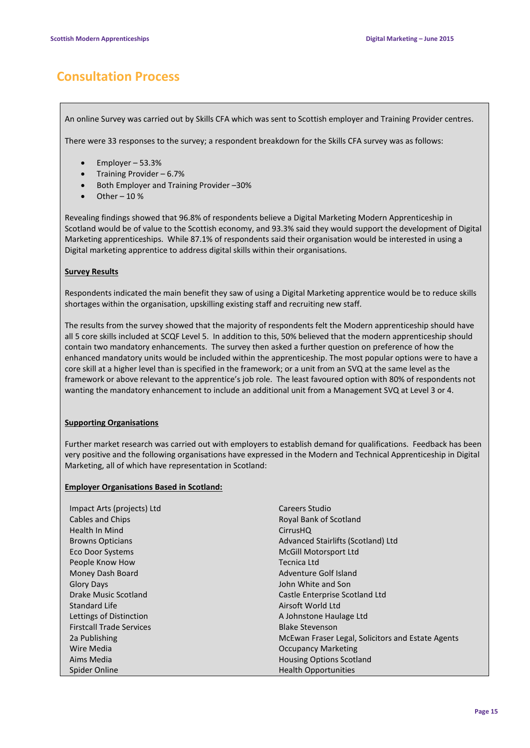# **Consultation Process**

An online Survey was carried out by Skills CFA which was sent to Scottish employer and Training Provider centres.

There were 33 responses to the survey; a respondent breakdown for the Skills CFA survey was as follows:

- Employer 53.3%
- Training Provider 6.7%
- Both Employer and Training Provider –30%
- Other  $-10%$

Revealing findings showed that 96.8% of respondents believe a Digital Marketing Modern Apprenticeship in Scotland would be of value to the Scottish economy, and 93.3% said they would support the development of Digital Marketing apprenticeships. While 87.1% of respondents said their organisation would be interested in using a Digital marketing apprentice to address digital skills within their organisations.

#### **Survey Results**

Respondents indicated the main benefit they saw of using a Digital Marketing apprentice would be to reduce skills shortages within the organisation, upskilling existing staff and recruiting new staff.

The results from the survey showed that the majority of respondents felt the Modern apprenticeship should have all 5 core skills included at SCQF Level 5. In addition to this, 50% believed that the modern apprenticeship should contain two mandatory enhancements. The survey then asked a further question on preference of how the enhanced mandatory units would be included within the apprenticeship. The most popular options were to have a core skill at a higher level than is specified in the framework; or a unit from an SVQ at the same level as the framework or above relevant to the apprentice's job role. The least favoured option with 80% of respondents not wanting the mandatory enhancement to include an additional unit from a Management SVQ at Level 3 or 4.

#### **Supporting Organisations**

Further market research was carried out with employers to establish demand for qualifications. Feedback has been very positive and the following organisations have expressed in the Modern and Technical Apprenticeship in Digital Marketing, all of which have representation in Scotland:

#### **Employer Organisations Based in Scotland:**

| Impact Arts (projects) Ltd      | Careers Studio                                    |
|---------------------------------|---------------------------------------------------|
| Cables and Chips                | Royal Bank of Scotland                            |
| Health In Mind                  | <b>CirrusHQ</b>                                   |
| <b>Browns Opticians</b>         | Advanced Stairlifts (Scotland) Ltd                |
| Eco Door Systems                | McGill Motorsport Ltd                             |
| People Know How                 | Tecnica Ltd                                       |
| Money Dash Board                | Adventure Golf Island                             |
| <b>Glory Days</b>               | John White and Son                                |
| Drake Music Scotland            | Castle Enterprise Scotland Ltd                    |
| Standard Life                   | Airsoft World Ltd                                 |
| Lettings of Distinction         | A Johnstone Haulage Ltd                           |
| <b>Firstcall Trade Services</b> | <b>Blake Stevenson</b>                            |
| 2a Publishing                   | McEwan Fraser Legal, Solicitors and Estate Agents |
| Wire Media                      | <b>Occupancy Marketing</b>                        |
| Aims Media                      | <b>Housing Options Scotland</b>                   |
| Spider Online                   | <b>Health Opportunities</b>                       |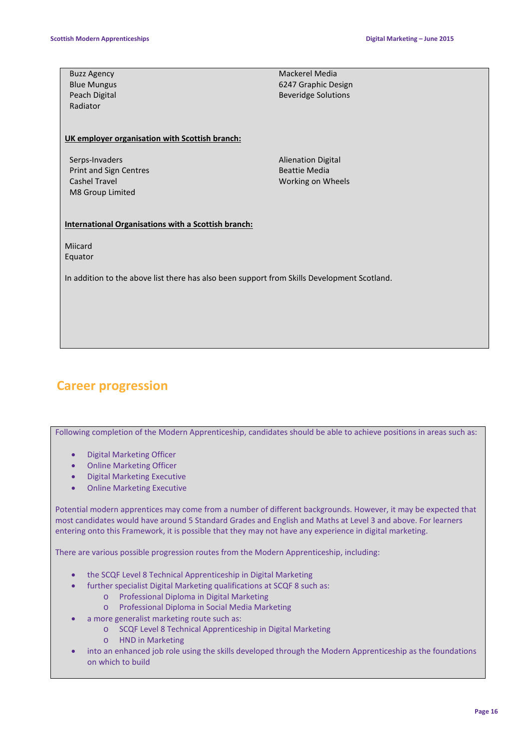| <b>Buzz Agency</b>                                                                          | Mackerel Media             |  |
|---------------------------------------------------------------------------------------------|----------------------------|--|
| <b>Blue Mungus</b>                                                                          | 6247 Graphic Design        |  |
| Peach Digital                                                                               | <b>Beveridge Solutions</b> |  |
| Radiator                                                                                    |                            |  |
|                                                                                             |                            |  |
|                                                                                             |                            |  |
| UK employer organisation with Scottish branch:                                              |                            |  |
|                                                                                             |                            |  |
| Serps-Invaders                                                                              | <b>Alienation Digital</b>  |  |
| Print and Sign Centres                                                                      | <b>Beattie Media</b>       |  |
| Cashel Travel                                                                               | Working on Wheels          |  |
| M8 Group Limited                                                                            |                            |  |
|                                                                                             |                            |  |
| <b>International Organisations with a Scottish branch:</b>                                  |                            |  |
|                                                                                             |                            |  |
| Miicard                                                                                     |                            |  |
| Equator                                                                                     |                            |  |
|                                                                                             |                            |  |
| In addition to the above list there has also been support from Skills Development Scotland. |                            |  |
|                                                                                             |                            |  |
|                                                                                             |                            |  |
|                                                                                             |                            |  |
|                                                                                             |                            |  |
|                                                                                             |                            |  |
|                                                                                             |                            |  |

## **Career progression**

Following completion of the Modern Apprenticeship, candidates should be able to achieve positions in areas such as:

- Digital Marketing Officer
- Online Marketing Officer
- Digital Marketing Executive
- Online Marketing Executive

Potential modern apprentices may come from a number of different backgrounds. However, it may be expected that most candidates would have around 5 Standard Grades and English and Maths at Level 3 and above. For learners entering onto this Framework, it is possible that they may not have any experience in digital marketing.

There are various possible progression routes from the Modern Apprenticeship, including:

- the SCQF Level 8 Technical Apprenticeship in Digital Marketing
- further specialist Digital Marketing qualifications at SCQF 8 such as:
	- o Professional Diploma in Digital Marketing
	- o Professional Diploma in Social Media Marketing
- a more generalist marketing route such as:
	- o SCQF Level 8 Technical Apprenticeship in Digital Marketing
	- o HND in Marketing
- into an enhanced job role using the skills developed through the Modern Apprenticeship as the foundations on which to build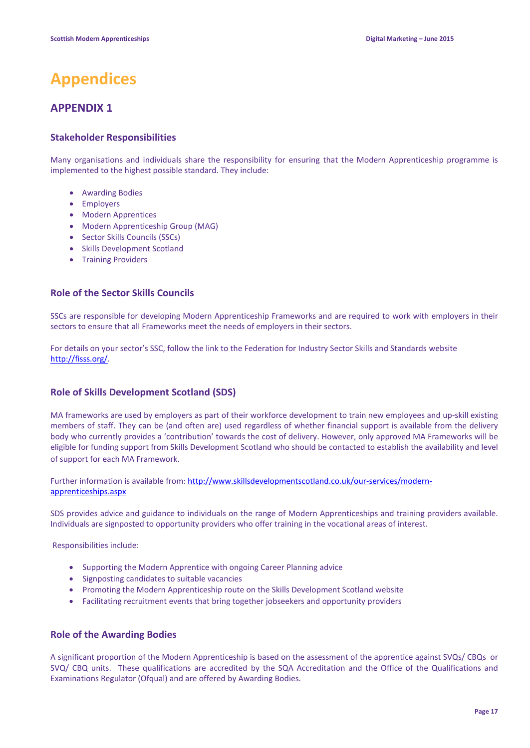# **Appendices**

### **APPENDIX 1**

#### **Stakeholder Responsibilities**

Many organisations and individuals share the responsibility for ensuring that the Modern Apprenticeship programme is implemented to the highest possible standard. They include:

- Awarding Bodies
- Employers
- Modern Apprentices
- Modern Apprenticeship Group (MAG)
- Sector Skills Councils (SSCs)
- Skills Development Scotland
- Training Providers

#### **Role of the Sector Skills Councils**

SSCs are responsible for developing Modern Apprenticeship Frameworks and are required to work with employers in their sectors to ensure that all Frameworks meet the needs of employers in their sectors.

For details on your sector's SSC, follow the link to the Federation for Industry Sector Skills and Standards website [http://fisss.org/.](http://fisss.org/)

#### **Role of Skills Development Scotland (SDS)**

MA frameworks are used by employers as part of their workforce development to train new employees and up-skill existing members of staff. They can be (and often are) used regardless of whether financial support is available from the delivery body who currently provides a 'contribution' towards the cost of delivery. However, only approved MA Frameworks will be eligible for funding support from Skills Development Scotland who should be contacted to establish the availability and level of support for each MA Framework.

#### Further information is available from: [http://www.skillsdevelopmentscotland.co.uk/our-services/modern](http://www.skillsdevelopmentscotland.co.uk/our-services/modern-apprenticeships.aspx)[apprenticeships.aspx](http://www.skillsdevelopmentscotland.co.uk/our-services/modern-apprenticeships.aspx)

SDS provides advice and guidance to individuals on the range of Modern Apprenticeships and training providers available. Individuals are signposted to opportunity providers who offer training in the vocational areas of interest.

Responsibilities include:

- Supporting the Modern Apprentice with ongoing Career Planning advice
- Signposting candidates to suitable vacancies
- Promoting the Modern Apprenticeship route on the Skills Development Scotland website
- Facilitating recruitment events that bring together jobseekers and opportunity providers

#### **Role of the Awarding Bodies**

A significant proportion of the Modern Apprenticeship is based on the assessment of the apprentice against SVQs/ CBQs or SVQ/ CBQ units. These qualifications are accredited by the SQA Accreditation and the Office of the Qualifications and Examinations Regulator (Ofqual) and are offered by Awarding Bodies.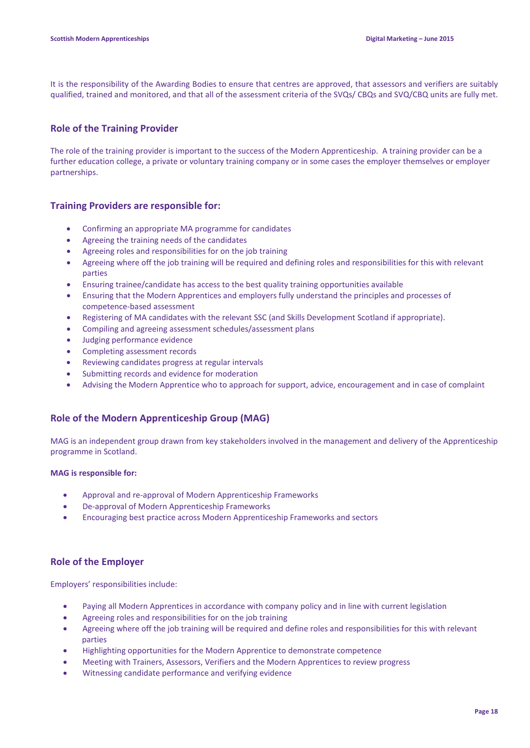It is the responsibility of the Awarding Bodies to ensure that centres are approved, that assessors and verifiers are suitably qualified, trained and monitored, and that all of the assessment criteria of the SVQs/ CBQs and SVQ/CBQ units are fully met.

#### **Role of the Training Provider**

The role of the training provider is important to the success of the Modern Apprenticeship. A training provider can be a further education college, a private or voluntary training company or in some cases the employer themselves or employer partnerships.

#### **Training Providers are responsible for:**

- Confirming an appropriate MA programme for candidates
- Agreeing the training needs of the candidates
- Agreeing roles and responsibilities for on the job training
- Agreeing where off the job training will be required and defining roles and responsibilities for this with relevant parties
- Ensuring trainee/candidate has access to the best quality training opportunities available
- Ensuring that the Modern Apprentices and employers fully understand the principles and processes of competence-based assessment
- Registering of MA candidates with the relevant SSC (and Skills Development Scotland if appropriate).
- Compiling and agreeing assessment schedules/assessment plans
- Judging performance evidence
- Completing assessment records
- Reviewing candidates progress at regular intervals
- Submitting records and evidence for moderation
- Advising the Modern Apprentice who to approach for support, advice, encouragement and in case of complaint

#### **Role of the Modern Apprenticeship Group (MAG)**

MAG is an independent group drawn from key stakeholders involved in the management and delivery of the Apprenticeship programme in Scotland.

#### **MAG is responsible for:**

- Approval and re-approval of Modern Apprenticeship Frameworks
- De-approval of Modern Apprenticeship Frameworks
- Encouraging best practice across Modern Apprenticeship Frameworks and sectors

#### **Role of the Employer**

Employers' responsibilities include:

- Paying all Modern Apprentices in accordance with company policy and in line with current legislation
- Agreeing roles and responsibilities for on the job training
- Agreeing where off the job training will be required and define roles and responsibilities for this with relevant parties
- Highlighting opportunities for the Modern Apprentice to demonstrate competence
- Meeting with Trainers, Assessors, Verifiers and the Modern Apprentices to review progress
- Witnessing candidate performance and verifying evidence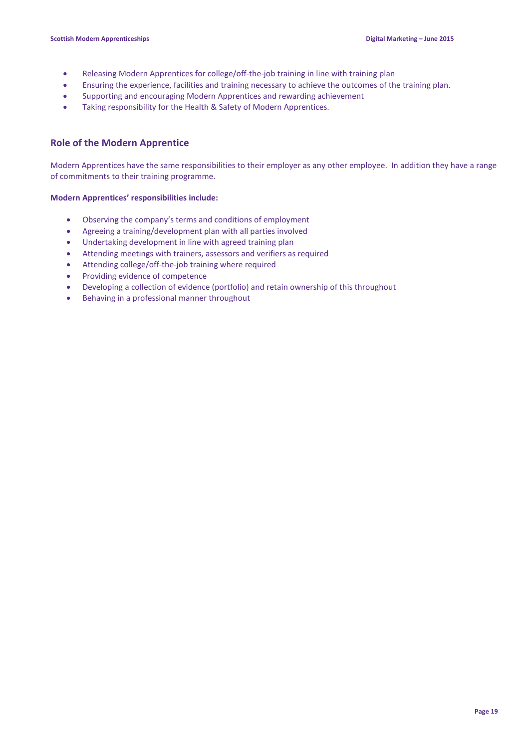- Releasing Modern Apprentices for college/off-the-job training in line with training plan
- Ensuring the experience, facilities and training necessary to achieve the outcomes of the training plan.
- Supporting and encouraging Modern Apprentices and rewarding achievement
- Taking responsibility for the Health & Safety of Modern Apprentices.

#### **Role of the Modern Apprentice**

Modern Apprentices have the same responsibilities to their employer as any other employee. In addition they have a range of commitments to their training programme.

#### **Modern Apprentices' responsibilities include:**

- Observing the company's terms and conditions of employment
- Agreeing a training/development plan with all parties involved
- Undertaking development in line with agreed training plan
- Attending meetings with trainers, assessors and verifiers as required
- Attending college/off-the-job training where required
- Providing evidence of competence
- Developing a collection of evidence (portfolio) and retain ownership of this throughout
- Behaving in a professional manner throughout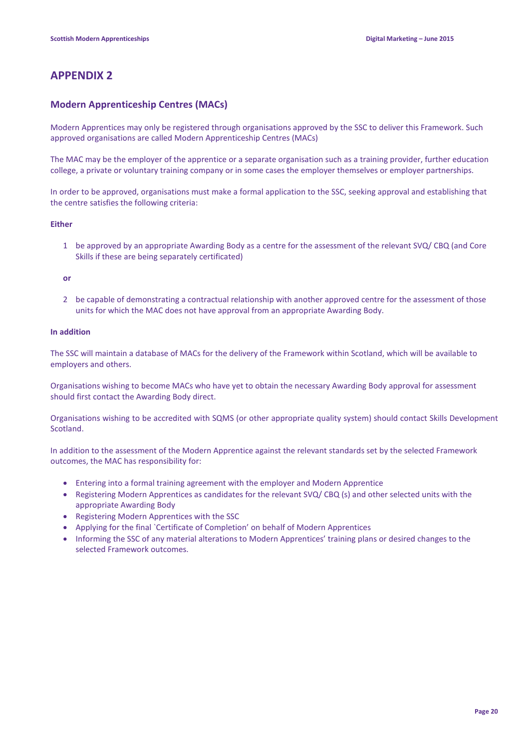### **APPENDIX 2**

#### **Modern Apprenticeship Centres (MACs)**

Modern Apprentices may only be registered through organisations approved by the SSC to deliver this Framework. Such approved organisations are called Modern Apprenticeship Centres (MACs)

The MAC may be the employer of the apprentice or a separate organisation such as a training provider, further education college, a private or voluntary training company or in some cases the employer themselves or employer partnerships.

In order to be approved, organisations must make a formal application to the SSC, seeking approval and establishing that the centre satisfies the following criteria:

#### **Either**

1 be approved by an appropriate Awarding Body as a centre for the assessment of the relevant SVQ/ CBQ (and Core Skills if these are being separately certificated)

**or**

2 be capable of demonstrating a contractual relationship with another approved centre for the assessment of those units for which the MAC does not have approval from an appropriate Awarding Body.

#### **In addition**

The SSC will maintain a database of MACs for the delivery of the Framework within Scotland, which will be available to employers and others.

Organisations wishing to become MACs who have yet to obtain the necessary Awarding Body approval for assessment should first contact the Awarding Body direct.

Organisations wishing to be accredited with SQMS (or other appropriate quality system) should contact Skills Development Scotland.

In addition to the assessment of the Modern Apprentice against the relevant standards set by the selected Framework outcomes, the MAC has responsibility for:

- Entering into a formal training agreement with the employer and Modern Apprentice
- Registering Modern Apprentices as candidates for the relevant SVQ/ CBQ (s) and other selected units with the appropriate Awarding Body
- Registering Modern Apprentices with the SSC
- Applying for the final `Certificate of Completion' on behalf of Modern Apprentices
- Informing the SSC of any material alterations to Modern Apprentices' training plans or desired changes to the selected Framework outcomes.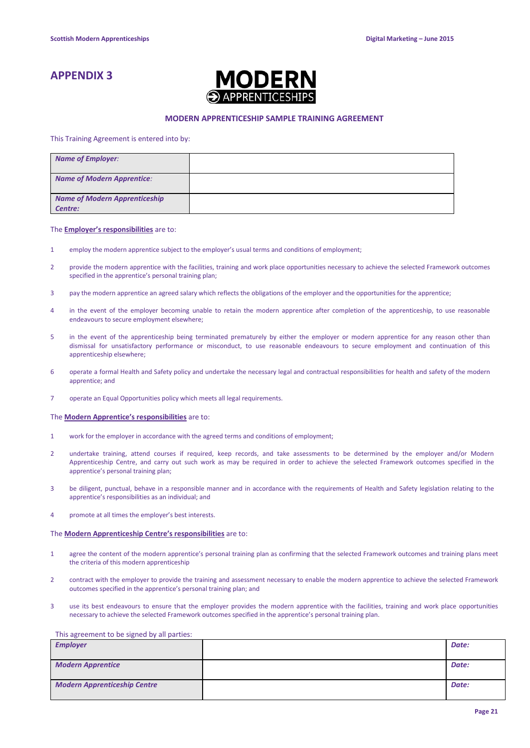### **APPENDIX 3**



#### **MODERN APPRENTICESHIP SAMPLE TRAINING AGREEMENT**

This Training Agreement is entered into by:

| <b>Name of Employer:</b>                        |  |
|-------------------------------------------------|--|
| <b>Name of Modern Apprentice:</b>               |  |
| <b>Name of Modern Apprenticeship</b><br>Centre: |  |

#### The **Employer's responsibilities** are to:

- 1 employ the modern apprentice subject to the employer's usual terms and conditions of employment;
- 2 provide the modern apprentice with the facilities, training and work place opportunities necessary to achieve the selected Framework outcomes specified in the apprentice's personal training plan;
- 3 pay the modern apprentice an agreed salary which reflects the obligations of the employer and the opportunities for the apprentice;
- 4 in the event of the employer becoming unable to retain the modern apprentice after completion of the apprenticeship, to use reasonable endeavours to secure employment elsewhere;
- 5 in the event of the apprenticeship being terminated prematurely by either the employer or modern apprentice for any reason other than dismissal for unsatisfactory performance or misconduct, to use reasonable endeavours to secure employment and continuation of this apprenticeship elsewhere;
- 6 operate a formal Health and Safety policy and undertake the necessary legal and contractual responsibilities for health and safety of the modern apprentice; and
- 7 operate an Equal Opportunities policy which meets all legal requirements.

#### The **Modern Apprentice's responsibilities** are to:

- 1 work for the employer in accordance with the agreed terms and conditions of employment;
- 2 undertake training, attend courses if required, keep records, and take assessments to be determined by the employer and/or Modern Apprenticeship Centre, and carry out such work as may be required in order to achieve the selected Framework outcomes specified in the apprentice's personal training plan;
- 3 be diligent, punctual, behave in a responsible manner and in accordance with the requirements of Health and Safety legislation relating to the apprentice's responsibilities as an individual; and
- 4 promote at all times the employer's best interests.

#### The **Modern Apprenticeship Centre's responsibilities** are to:

- 1 agree the content of the modern apprentice's personal training plan as confirming that the selected Framework outcomes and training plans meet the criteria of this modern apprenticeship
- 2 contract with the employer to provide the training and assessment necessary to enable the modern apprentice to achieve the selected Framework outcomes specified in the apprentice's personal training plan; and
- 3 use its best endeavours to ensure that the employer provides the modern apprentice with the facilities, training and work place opportunities necessary to achieve the selected Framework outcomes specified in the apprentice's personal training plan.

#### This agreement to be signed by all parties:

| <b>Employer</b>                     | Date: |
|-------------------------------------|-------|
| <b>Modern Apprentice</b>            | Date: |
| <b>Modern Apprenticeship Centre</b> | Date: |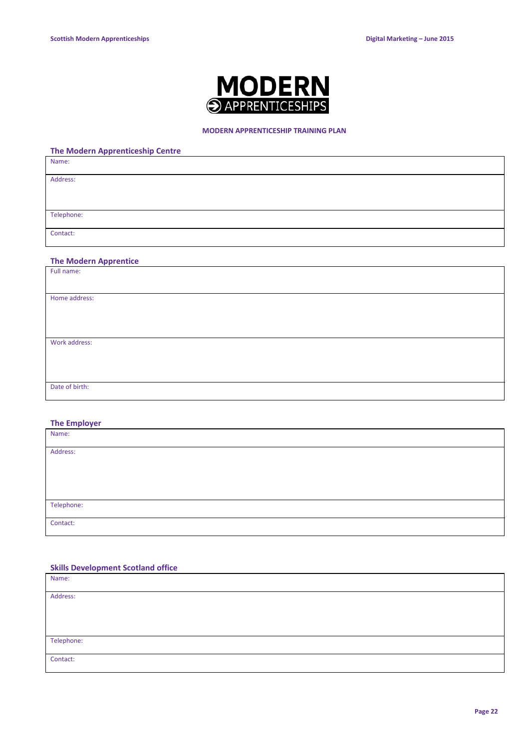

#### **MODERN APPRENTICESHIP TRAINING PLAN**

| <b>The Modern Apprenticeship Centre</b> |
|-----------------------------------------|
| Name:                                   |
| Address:                                |
| Telephone:                              |
| Contact:                                |

#### **The Modern Apprentice**

| Full name:     |  |
|----------------|--|
|                |  |
| Home address:  |  |
|                |  |
|                |  |
| Work address:  |  |
|                |  |
|                |  |
| Date of birth: |  |
|                |  |

#### **The Employer**

| Name:      |  |
|------------|--|
|            |  |
| Address:   |  |
|            |  |
|            |  |
|            |  |
|            |  |
|            |  |
| Telephone: |  |
|            |  |
| Contact:   |  |
|            |  |

#### **Skills Development Scotland office**

| Name:      |  |
|------------|--|
| Address:   |  |
|            |  |
|            |  |
| Telephone: |  |
| Contact:   |  |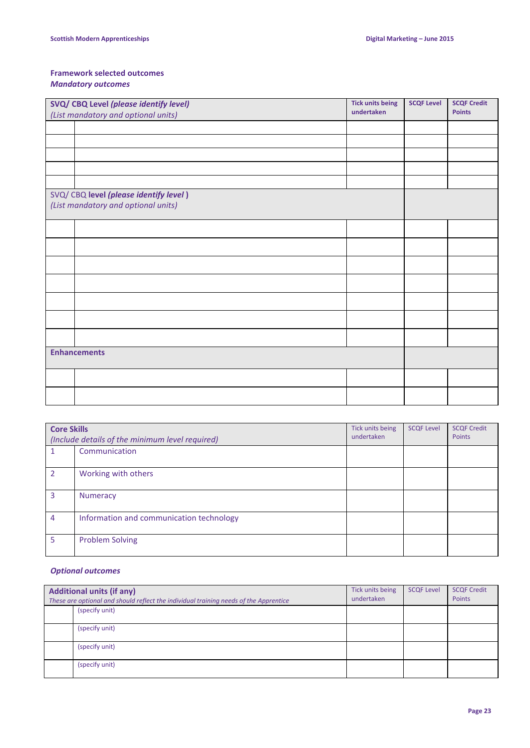### **Framework selected outcomes**

### *Mandatory outcomes*

| SVQ/ CBQ Level (please identify level)                                        |  | <b>Tick units being</b> | <b>SCQF Level</b> | <b>SCQF Credit</b> |
|-------------------------------------------------------------------------------|--|-------------------------|-------------------|--------------------|
| undertaken<br>(List mandatory and optional units)                             |  |                         | <b>Points</b>     |                    |
|                                                                               |  |                         |                   |                    |
|                                                                               |  |                         |                   |                    |
|                                                                               |  |                         |                   |                    |
|                                                                               |  |                         |                   |                    |
|                                                                               |  |                         |                   |                    |
| SVQ/ CBQ level (please identify level)<br>(List mandatory and optional units) |  |                         |                   |                    |
|                                                                               |  |                         |                   |                    |
|                                                                               |  |                         |                   |                    |
|                                                                               |  |                         |                   |                    |
|                                                                               |  |                         |                   |                    |
|                                                                               |  |                         |                   |                    |
|                                                                               |  |                         |                   |                    |
|                                                                               |  |                         |                   |                    |
| <b>Enhancements</b>                                                           |  |                         |                   |                    |
|                                                                               |  |                         |                   |                    |
|                                                                               |  |                         |                   |                    |

| <b>Core Skills</b><br>(Include details of the minimum level required) |                                          | Tick units being<br>undertaken | <b>SCQF Level</b> | <b>SCQF Credit</b><br>Points |
|-----------------------------------------------------------------------|------------------------------------------|--------------------------------|-------------------|------------------------------|
|                                                                       | Communication                            |                                |                   |                              |
| $\overline{2}$                                                        | Working with others                      |                                |                   |                              |
| 3                                                                     | <b>Numeracy</b>                          |                                |                   |                              |
| 4                                                                     | Information and communication technology |                                |                   |                              |
| 5                                                                     | <b>Problem Solving</b>                   |                                |                   |                              |

#### *Optional outcomes*

| <b>Additional units (if any)</b><br>These are optional and should reflect the individual training needs of the Apprentice |  | Tick units being<br>undertaken | <b>SCQF Level</b> | <b>SCQF Credit</b><br>Points |
|---------------------------------------------------------------------------------------------------------------------------|--|--------------------------------|-------------------|------------------------------|
| (specify unit)                                                                                                            |  |                                |                   |                              |
| (specify unit)                                                                                                            |  |                                |                   |                              |
| (specify unit)                                                                                                            |  |                                |                   |                              |
| (specify unit)                                                                                                            |  |                                |                   |                              |